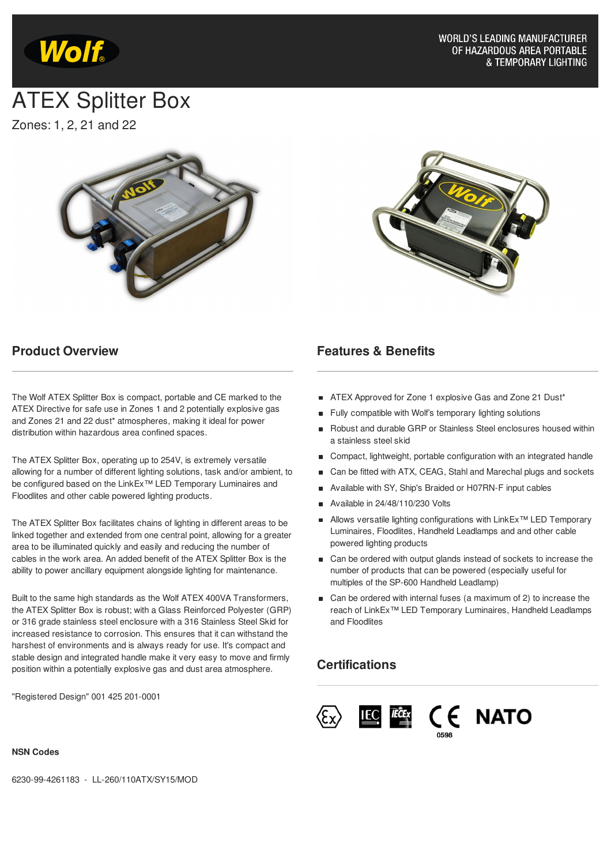

# ATEX Splitter Box

Zones: 1, 2, 21 and 22





## **Product Overview**

The Wolf ATEX Splitter Box is compact, portable and CE marked to the ATEX Directive for safe use in Zones 1 and 2 potentially explosive gas and Zones 21 and 22 dust\* atmospheres, making it ideal for power distribution within hazardous area confined spaces.

The ATEX Splitter Box, operating up to 254V, is extremely versatile allowing for a number of different lighting solutions, task and/or ambient, to be configured based on the LinkEx<sup>™</sup> LED Temporary Luminaires and Floodlites and other cable powered lighting products.

The ATEX Splitter Box facilitates chains of lighting in different areas to be linked together and extended from one central point, allowing for a greater area to be illuminated quickly and easily and reducing the number of cables in the work area. An added benefit of the ATEX Splitter Box is the ability to power ancillary equipment alongside lighting for maintenance.

Built to the same high standards as the Wolf ATEX 400VA Transformers, the ATEX Splitter Box is robust; with a Glass Reinforced Polyester (GRP) or 316 grade stainless steel enclosure with a 316 Stainless Steel Skid for increased resistance to corrosion. This ensures that it can withstand the harshest of environments and is always ready for use. It's compact and stable design and integrated handle make it very easy to move and firmly position within a potentially explosive gas and dust area atmosphere.

"Registered Design" 001 425 201-0001

### **Features & Benefits**

- ATEX Approved for Zone 1 explosive Gas and Zone 21 Dust\*
- Fully compatible with Wolf's temporary lighting solutions  $\blacksquare$
- Robust and durable GRP or Stainless Steel enclosures housed within a stainless steel skid
- Compact, lightweight, portable configuration with an integrated handle
- Can be fitted with ATX, CEAG, Stahl and Marechal plugs and sockets
- Available with SY, Ship's Braided or H07RN-F input cables
- $\blacksquare$  Available in 24/48/110/230 Volts
- Allows versatile lighting configurations with LinkEx<sup>™</sup> LED Temporary Luminaires, Floodlites, Handheld Leadlamps and and other cable powered lighting products
- Can be ordered with output glands instead of sockets to increase the number of products that can be powered (especially useful for multiples of the SP-600 Handheld Leadlamp)
- Can be ordered with internal fuses (a maximum of 2) to increase the reach of LinkEx<sup>™</sup> LED Temporary Luminaires, Handheld Leadlamps and Floodlites

# **Certifications**



#### **NSN Codes**

6230-99-4261183 - LL-260/110ATX/SY15/MOD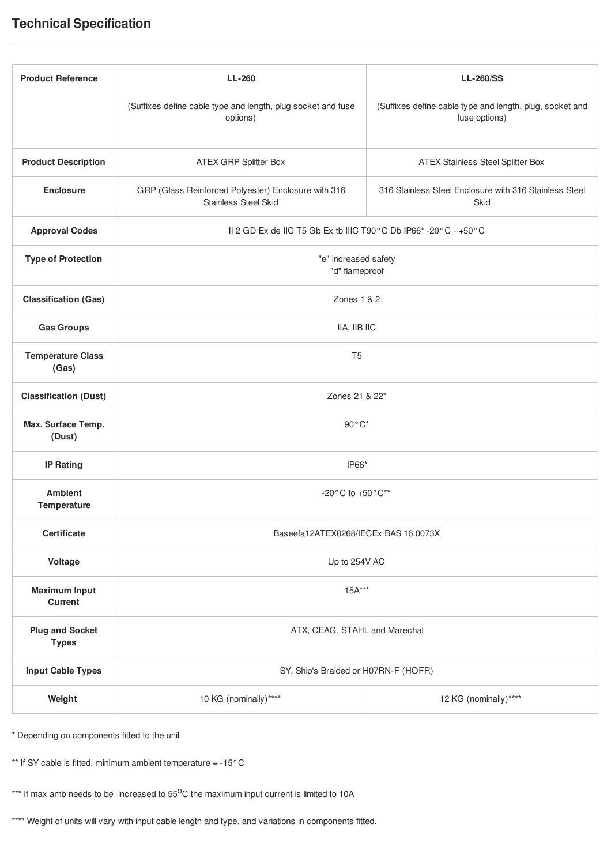# **Technical Specification**

| <b>Product Reference</b>               | <b>LL-260</b>                                                               | <b>LL-260/SS</b>                                                          |
|----------------------------------------|-----------------------------------------------------------------------------|---------------------------------------------------------------------------|
|                                        | (Suffixes define cable type and length, plug socket and fuse<br>options)    | (Suffixes define cable type and length, plug, socket and<br>fuse options) |
| <b>Product Description</b>             | ATEX GRP Splitter Box                                                       | <b>ATEX Stainless Steel Splitter Box</b>                                  |
| <b>Enclosure</b>                       | GRP (Glass Reinforced Polyester) Enclosure with 316<br>Stainless Steel Skid | 316 Stainless Steel Enclosure with 316 Stainless Steel<br>Skid            |
| <b>Approval Codes</b>                  | II 2 GD Ex de IIC T5 Gb Ex tb IIIC T90°C Db IP66*-20°C - +50°C              |                                                                           |
| <b>Type of Protection</b>              | "e" increased safety<br>"d" flameproof                                      |                                                                           |
| <b>Classification (Gas)</b>            | Zones $1 & 2$                                                               |                                                                           |
| <b>Gas Groups</b>                      | IIA, IIB IIC                                                                |                                                                           |
| <b>Temperature Class</b><br>(Gas)      | T <sub>5</sub>                                                              |                                                                           |
| <b>Classification (Dust)</b>           | Zones 21 & 22*                                                              |                                                                           |
| Max. Surface Temp.<br>(Dust)           | $90^{\circ}$ C*                                                             |                                                                           |
| <b>IP Rating</b>                       | IP66*                                                                       |                                                                           |
| <b>Ambient</b><br><b>Temperature</b>   | $-20^{\circ}$ C to $+50^{\circ}$ C <sup>**</sup>                            |                                                                           |
| <b>Certificate</b>                     | Baseefa12ATEX0268/IECEx BAS 16.0073X                                        |                                                                           |
| Voltage                                | Up to 254V AC                                                               |                                                                           |
| <b>Maximum Input</b><br>Current        | $15A***$                                                                    |                                                                           |
| <b>Plug and Socket</b><br><b>Types</b> | ATX, CEAG, STAHL and Marechal                                               |                                                                           |
| <b>Input Cable Types</b>               | SY, Ship's Braided or H07RN-F (HOFR)                                        |                                                                           |
| Weight                                 | 10 KG (nominally)****                                                       | 12 KG (nominally)****                                                     |

\* Depending on components fitted to the unit

\*\* If SY cable is fitted, minimum ambient temperature = -15°C

\*\*\* If max amb needs to be increased to 55<sup>0</sup>C the maximum input current is limited to 10A

\*\*\*\* Weight of units will vary with input cable length and type, and variations in components fitted.